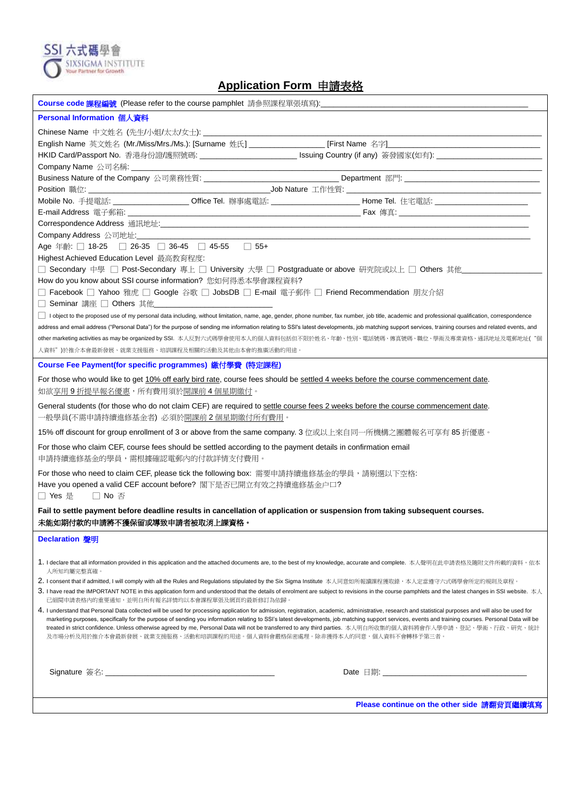

## **Application Form** 申請表格

| Course code 課程編號(Please refer to the course pamphlet  請參照課程單張填寫):________________                                                                                                                                                                                                                                                                                                                                                             |  |  |  |
|-----------------------------------------------------------------------------------------------------------------------------------------------------------------------------------------------------------------------------------------------------------------------------------------------------------------------------------------------------------------------------------------------------------------------------------------------|--|--|--|
| Personal Information 個人資料                                                                                                                                                                                                                                                                                                                                                                                                                     |  |  |  |
|                                                                                                                                                                                                                                                                                                                                                                                                                                               |  |  |  |
|                                                                                                                                                                                                                                                                                                                                                                                                                                               |  |  |  |
|                                                                                                                                                                                                                                                                                                                                                                                                                                               |  |  |  |
|                                                                                                                                                                                                                                                                                                                                                                                                                                               |  |  |  |
| Business Nature of the Company 公司業務性質: _________________________________Department 部門: _________________________                                                                                                                                                                                                                                                                                                                              |  |  |  |
|                                                                                                                                                                                                                                                                                                                                                                                                                                               |  |  |  |
| Mobile No. 手提電話: _____________________Office Tel. 辦事處電話: ________________________ Home Tel. 住宅電話: ___________________                                                                                                                                                                                                                                                                                                                         |  |  |  |
|                                                                                                                                                                                                                                                                                                                                                                                                                                               |  |  |  |
|                                                                                                                                                                                                                                                                                                                                                                                                                                               |  |  |  |
|                                                                                                                                                                                                                                                                                                                                                                                                                                               |  |  |  |
| Age 年齡: □ 18-25 □ 26-35 □ 36-45 □ 45-55 □ 55+                                                                                                                                                                                                                                                                                                                                                                                                 |  |  |  |
| Highest Achieved Education Level 最高教育程度:                                                                                                                                                                                                                                                                                                                                                                                                      |  |  |  |
| □ Secondary 中學 □ Post-Secondary 專上 □ University 大學 □ Postgraduate or above 研究院或以上 □ Others 其他________________                                                                                                                                                                                                                                                                                                                                 |  |  |  |
| How do you know about SSI course information? 您如何得悉本學會課程資料?                                                                                                                                                                                                                                                                                                                                                                                   |  |  |  |
| □ Facebook □ Yahoo 雅虎 □ Google 谷歌 □ JobsDB □ E-mail 電子郵件 □ Friend Recommendation 朋友介紹                                                                                                                                                                                                                                                                                                                                                         |  |  |  |
| □ Seminar 講座 □ Others 其他                                                                                                                                                                                                                                                                                                                                                                                                                      |  |  |  |
| l object to the proposed use of my personal data including, without limitation, name, age, gender, phone number, fax number, job title, academic and professional qualification, correspondence                                                                                                                                                                                                                                               |  |  |  |
| address and email address ("Personal Data") for the purpose of sending me information relating to SSI's latest developments, job matching support services, training courses and related events, and                                                                                                                                                                                                                                          |  |  |  |
| other marketing activities as may be organized by SSI. 本人反對六式碼學會使用本人的個人資料包括但不限於姓名、年齡、性別、電話號碼、傳真號碼、職位、學術及專業資格、通訊地址及電郵地址("個                                                                                                                                                                                                                                                                                                                     |  |  |  |
| 人資料")於推介本會最新發展、就業支援服務、培訓課程及相關的活動及其他由本會的推廣活動的用途。                                                                                                                                                                                                                                                                                                                                                                                               |  |  |  |
| Course Fee Payment(for specific programmes) 繳付學費 (特定課程)                                                                                                                                                                                                                                                                                                                                                                                       |  |  |  |
| For those who would like to get 10% off early bird rate, course fees should be settled 4 weeks before the course commencement date.                                                                                                                                                                                                                                                                                                           |  |  |  |
| 如欲 <u>享用 9 折提早報名優惠</u> ,所有費用須於 <u>開課前 4 個星期繳付</u> 。                                                                                                                                                                                                                                                                                                                                                                                           |  |  |  |
| General students (for those who do not claim CEF) are required to settle course fees 2 weeks before the course commencement date.<br>一般學員(不需申請持續進修基金者) 必須於 <u>開課前2個星期繳付所有費用</u> 。                                                                                                                                                                                                                                                             |  |  |  |
| 15% off discount for group enrollment of 3 or above from the same company. 3 位或以上來自同一所機構之團體報名可享有 85 折優惠。                                                                                                                                                                                                                                                                                                                                      |  |  |  |
| For those who claim CEF, course fees should be settled according to the payment details in confirmation email<br>申請持續進修基金的學員,需根據確認電郵內的付款詳情支付費用。                                                                                                                                                                                                                                                                                               |  |  |  |
| For those who need to claim CEF, please tick the following box: 需要申請持續進修基金的學員,請剔選以下空格:<br>Have you opened a valid CEF account before? 閣下是否已開立有效之持續進修基金户口?<br>□ Yes 是<br>$\Box$ No $\overline{\oplus}$                                                                                                                                                                                                                                         |  |  |  |
| Fail to settle payment before deadline results in cancellation of application or suspension from taking subsequent courses.                                                                                                                                                                                                                                                                                                                   |  |  |  |
| 未能如期付款的申請將不獲保留或導致申請者被取消上課資格。                                                                                                                                                                                                                                                                                                                                                                                                                  |  |  |  |
| Declaration 聲明                                                                                                                                                                                                                                                                                                                                                                                                                                |  |  |  |
|                                                                                                                                                                                                                                                                                                                                                                                                                                               |  |  |  |
| 1. I declare that all information provided in this application and the attached documents are, to the best of my knowledge, accurate and complete. 本人聲明在此申請表格及隨附文件所載的資料,依本<br>人所知均屬完整真確。                                                                                                                                                                                                                                                      |  |  |  |
| 2. I consent that if admitted, I will comply with all the Rules and Regulations stipulated by the Six Sigma Institute 本人同意如所報讀課程獲取錄,本人定當遵守六式碼學會所定的規則及章程。                                                                                                                                                                                                                                                                                      |  |  |  |
| 3. I have read the IMPORTANT NOTE in this application form and understood that the details of enrolment are subject to revisions in the course pamphlets and the latest changes in SSI website. $\pi\lambda$<br>已細閱申請表格內的重要通知,並明白所有報名詳情均以本會課程單張及網頁的最新修訂為依歸。                                                                                                                                                                                   |  |  |  |
| 4. I understand that Personal Data collected will be used for processing application for admission, registration, academic, administrative, research and statistical purposes and will also be used for                                                                                                                                                                                                                                       |  |  |  |
| marketing purposes, specifically for the purpose of sending you information relating to SSI's latest developments, job matching support services, events and training courses. Personal Data will be<br>treated in strict confidence. Unless otherwise agreed by me, Personal Data will not be transferred to any third parties. 本人明白所收集的個人資料將會作入學申請、登記、學術、行政、研究、統計<br>及市場分析及用於推介本會最新發展、就業支援服務、活動和培訓課程的用途。個人資料會嚴格保密處理。除非獲得本人的同意,個人資料不會轉移予第三者。 |  |  |  |
|                                                                                                                                                                                                                                                                                                                                                                                                                                               |  |  |  |
|                                                                                                                                                                                                                                                                                                                                                                                                                                               |  |  |  |
|                                                                                                                                                                                                                                                                                                                                                                                                                                               |  |  |  |
| Please continue on the other side 請翻背頁繼續填寫                                                                                                                                                                                                                                                                                                                                                                                                    |  |  |  |